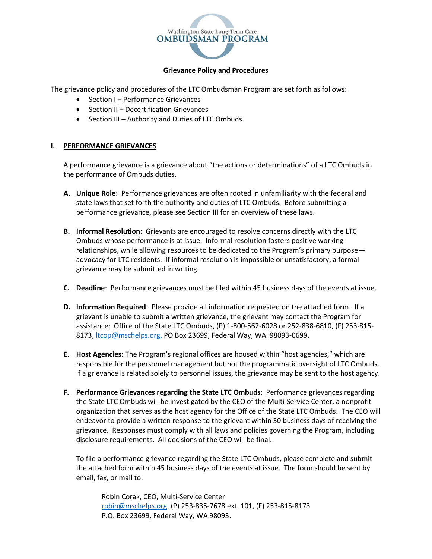

## **Grievance Policy and Procedures**

The grievance policy and procedures of the LTC Ombudsman Program are set forth as follows:

- Section I Performance Grievances
- Section II Decertification Grievances
- Section III Authority and Duties of LTC Ombuds.

## **I. PERFORMANCE GRIEVANCES**

A performance grievance is a grievance about "the actions or determinations" of a LTC Ombuds in the performance of Ombuds duties.

- **A. Unique Role**: Performance grievances are often rooted in unfamiliarity with the federal and state laws that set forth the authority and duties of LTC Ombuds. Before submitting a performance grievance, please see Section III for an overview of these laws.
- **B. Informal Resolution**: Grievants are encouraged to resolve concerns directly with the LTC Ombuds whose performance is at issue. Informal resolution fosters positive working relationships, while allowing resources to be dedicated to the Program's primary purpose advocacy for LTC residents. If informal resolution is impossible or unsatisfactory, a formal grievance may be submitted in writing.
- **C. Deadline**: Performance grievances must be filed within 45 business days of the events at issue.
- **D. Information Required**: Please provide all information requested on the attached form. If a grievant is unable to submit a written grievance, the grievant may contact the Program for assistance: Office of the State LTC Ombuds, (P) 1-800-562-6028 or 252-838-6810, (F) 253-815- 8173, Itcop@mschelps.org, PO Box 23699, Federal Way, WA 98093-0699.
- **E. Host Agencies**: The Program's regional offices are housed within "host agencies," which are responsible for the personnel management but not the programmatic oversight of LTC Ombuds. If a grievance is related solely to personnel issues, the grievance may be sent to the host agency.
- **F. Performance Grievances regarding the State LTC Ombuds**: Performance grievances regarding the State LTC Ombuds will be investigated by the CEO of the Multi-Service Center, a nonprofit organization that serves as the host agency for the Office of the State LTC Ombuds. The CEO will endeavor to provide a written response to the grievant within 30 business days of receiving the grievance. Responses must comply with all laws and policies governing the Program, including disclosure requirements. All decisions of the CEO will be final.

To file a performance grievance regarding the State LTC Ombuds, please complete and submit the attached form within 45 business days of the events at issue. The form should be sent by email, fax, or mail to:

Robin Corak, CEO, Multi-Service Center [robin@mschelps.org,](mailto:robin@mschelps.org) (P) 253-835-7678 ext. 101, (F) 253-815-8173 P.O. Box 23699, Federal Way, WA 98093.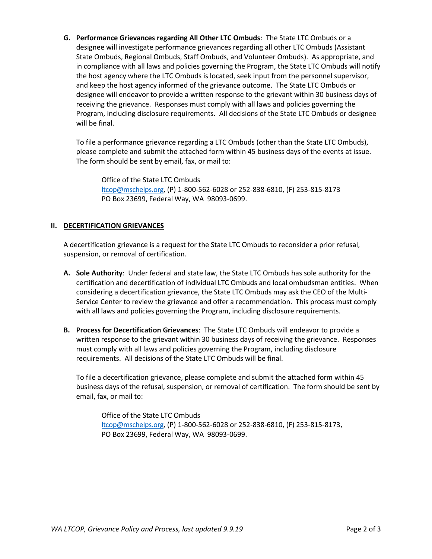**G. Performance Grievances regarding All Other LTC Ombuds**: The State LTC Ombuds or a designee will investigate performance grievances regarding all other LTC Ombuds (Assistant State Ombuds, Regional Ombuds, Staff Ombuds, and Volunteer Ombuds). As appropriate, and in compliance with all laws and policies governing the Program, the State LTC Ombuds will notify the host agency where the LTC Ombuds is located, seek input from the personnel supervisor, and keep the host agency informed of the grievance outcome. The State LTC Ombuds or designee will endeavor to provide a written response to the grievant within 30 business days of receiving the grievance. Responses must comply with all laws and policies governing the Program, including disclosure requirements. All decisions of the State LTC Ombuds or designee will be final.

To file a performance grievance regarding a LTC Ombuds (other than the State LTC Ombuds), please complete and submit the attached form within 45 business days of the events at issue. The form should be sent by email, fax, or mail to:

Office of the State LTC Ombuds [ltcop@mschelps.org,](mailto:ltcop@mschelps.org) (P) 1-800-562-6028 or 252-838-6810, (F) 253-815-8173 PO Box 23699, Federal Way, WA 98093-0699.

## **II. DECERTIFICATION GRIEVANCES**

A decertification grievance is a request for the State LTC Ombuds to reconsider a prior refusal, suspension, or removal of certification.

- **A. Sole Authority**: Under federal and state law, the State LTC Ombuds has sole authority for the certification and decertification of individual LTC Ombuds and local ombudsman entities. When considering a decertification grievance, the State LTC Ombuds may ask the CEO of the Multi-Service Center to review the grievance and offer a recommendation. This process must comply with all laws and policies governing the Program, including disclosure requirements.
- **B. Process for Decertification Grievances**: The State LTC Ombuds will endeavor to provide a written response to the grievant within 30 business days of receiving the grievance. Responses must comply with all laws and policies governing the Program, including disclosure requirements. All decisions of the State LTC Ombuds will be final.

To file a decertification grievance, please complete and submit the attached form within 45 business days of the refusal, suspension, or removal of certification. The form should be sent by email, fax, or mail to:

Office of the State LTC Ombuds [ltcop@mschelps.org,](mailto:ltcop@mschelps.org) (P) 1-800-562-6028 or 252-838-6810, (F) 253-815-8173, PO Box 23699, Federal Way, WA 98093-0699.